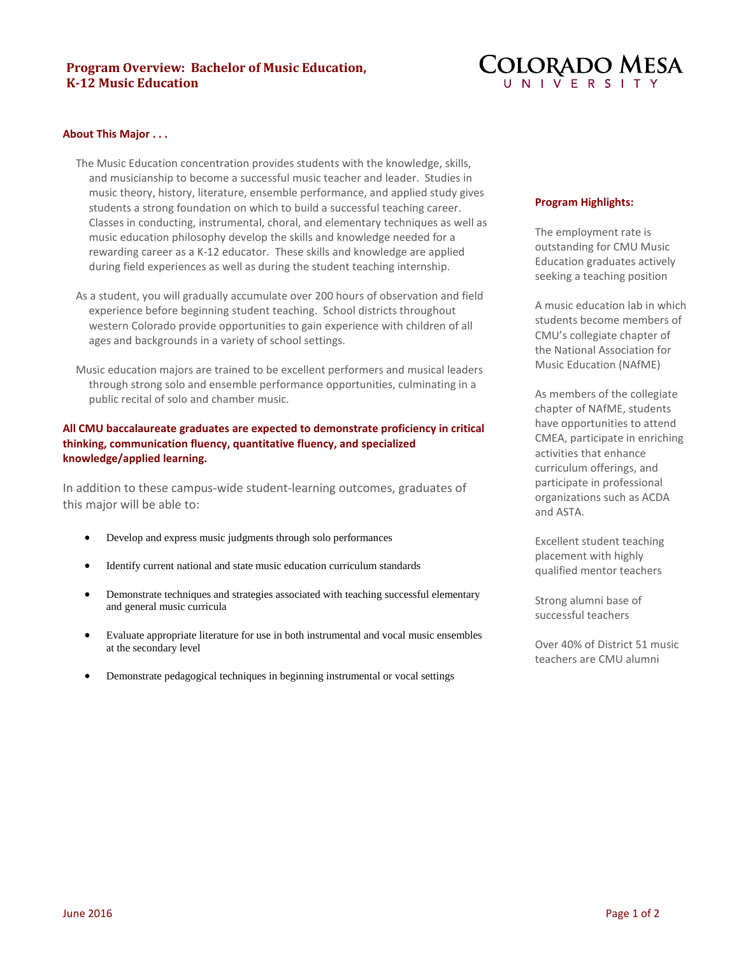# **Program Overview: Bachelor of Music Education, K-12 Music Education**



#### **About This Major . . .**

- The Music Education concentration provides students with the knowledge, skills, and musicianship to become a successful music teacher and leader. Studies in music theory, history, literature, ensemble performance, and applied study gives students a strong foundation on which to build a successful teaching career. Classes in conducting, instrumental, choral, and elementary techniques as well as music education philosophy develop the skills and knowledge needed for a rewarding career as a K-12 educator. These skills and knowledge are applied during field experiences as well as during the student teaching internship.
- As a student, you will gradually accumulate over 200 hours of observation and field experience before beginning student teaching. School districts throughout western Colorado provide opportunities to gain experience with children of all ages and backgrounds in a variety of school settings.
- Music education majors are trained to be excellent performers and musical leaders through strong solo and ensemble performance opportunities, culminating in a public recital of solo and chamber music.

## **All CMU baccalaureate graduates are expected to demonstrate proficiency in critical thinking, communication fluency, quantitative fluency, and specialized knowledge/applied learning.**

In addition to these campus-wide student-learning outcomes, graduates of this major will be able to:

- Develop and express music judgments through solo performances
- Identify current national and state music education curriculum standards
- Demonstrate techniques and strategies associated with teaching successful elementary and general music curricula
- Evaluate appropriate literature for use in both instrumental and vocal music ensembles at the secondary level
- Demonstrate pedagogical techniques in beginning instrumental or vocal settings

#### **Program Highlights:**

The employment rate is outstanding for CMU Music Education graduates actively seeking a teaching position

A music education lab in which students become members of CMU's collegiate chapter of the National Association for Music Education (NAfME)

As members of the collegiate chapter of NAfME, students have opportunities to attend CMEA, participate in enriching activities that enhance curriculum offerings, and participate in professional organizations such as ACDA and ASTA.

Excellent student teaching placement with highly qualified mentor teachers

Strong alumni base of successful teachers

Over 40% of District 51 music teachers are CMU alumni